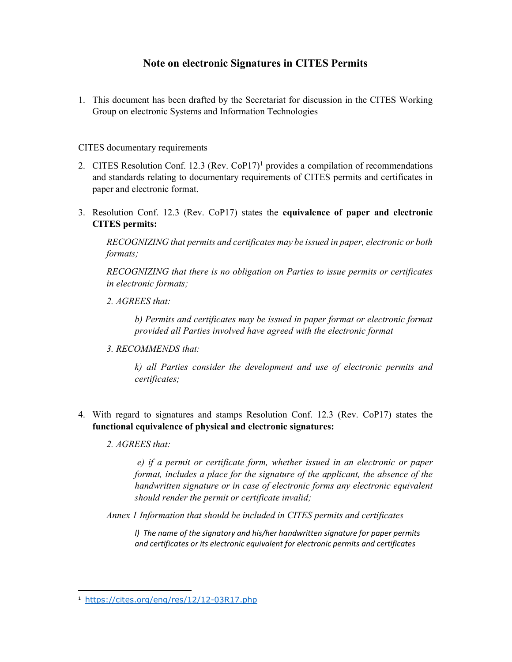# Note on electronic Signatures in CITES Permits

1. This document has been drafted by the Secretariat for discussion in the CITES Working Group on electronic Systems and Information Technologies

## CITES documentary requirements

- 2. CITES Resolution Conf. 12.3 (Rev. CoP17)<sup>1</sup> provides a compilation of recommendations and standards relating to documentary requirements of CITES permits and certificates in paper and electronic format.
- 3. Resolution Conf. 12.3 (Rev. CoP17) states the equivalence of paper and electronic CITES permits:

RECOGNIZING that permits and certificates may be issued in paper, electronic or both formats;

RECOGNIZING that there is no obligation on Parties to issue permits or certificates in electronic formats;

2. AGREES that:

b) Permits and certificates may be issued in paper format or electronic format provided all Parties involved have agreed with the electronic format

3. RECOMMENDS that:

k) all Parties consider the development and use of electronic permits and certificates;

- 4. With regard to signatures and stamps Resolution Conf. 12.3 (Rev. CoP17) states the functional equivalence of physical and electronic signatures:
	- 2. AGREES that:

1

 e) if a permit or certificate form, whether issued in an electronic or paper format, includes a place for the signature of the applicant, the absence of the handwritten signature or in case of electronic forms any electronic equivalent should render the permit or certificate invalid;

Annex 1 Information that should be included in CITES permits and certificates

l) The name of the signatory and his/her handwritten signature for paper permits and certificates or its electronic equivalent for electronic permits and certificates

<sup>1</sup> https://cites.org/eng/res/12/12-03R17.php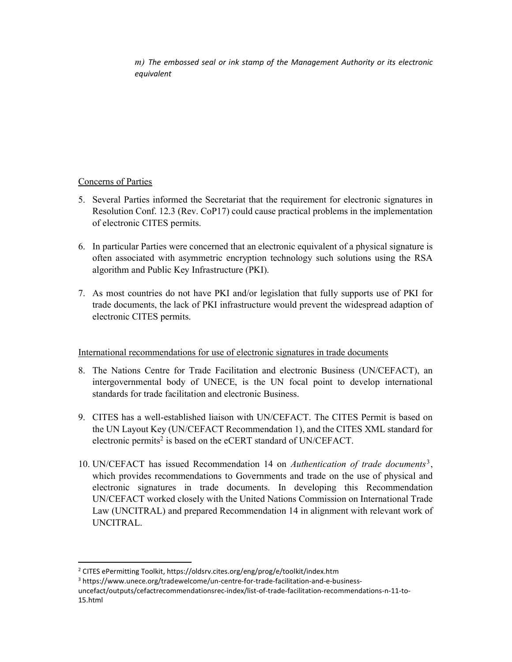m) The embossed seal or ink stamp of the Management Authority or its electronic equivalent

## Concerns of Parties

1

- 5. Several Parties informed the Secretariat that the requirement for electronic signatures in Resolution Conf. 12.3 (Rev. CoP17) could cause practical problems in the implementation of electronic CITES permits.
- 6. In particular Parties were concerned that an electronic equivalent of a physical signature is often associated with asymmetric encryption technology such solutions using the RSA algorithm and Public Key Infrastructure (PKI).
- 7. As most countries do not have PKI and/or legislation that fully supports use of PKI for trade documents, the lack of PKI infrastructure would prevent the widespread adaption of electronic CITES permits.

## International recommendations for use of electronic signatures in trade documents

- 8. The Nations Centre for Trade Facilitation and electronic Business (UN/CEFACT), an intergovernmental body of UNECE, is the UN focal point to develop international standards for trade facilitation and electronic Business.
- 9. CITES has a well-established liaison with UN/CEFACT. The CITES Permit is based on the UN Layout Key (UN/CEFACT Recommendation 1), and the CITES XML standard for electronic permits<sup>2</sup> is based on the eCERT standard of UN/CEFACT.
- 10. UN/CEFACT has issued Recommendation 14 on Authentication of trade documents<sup>3</sup>, which provides recommendations to Governments and trade on the use of physical and electronic signatures in trade documents. In developing this Recommendation UN/CEFACT worked closely with the United Nations Commission on International Trade Law (UNCITRAL) and prepared Recommendation 14 in alignment with relevant work of UNCITRAL.

<sup>&</sup>lt;sup>2</sup> CITES ePermitting Toolkit, https://oldsrv.cites.org/eng/prog/e/toolkit/index.htm

<sup>&</sup>lt;sup>3</sup> https://www.unece.org/tradewelcome/un-centre-for-trade-facilitation-and-e-business-

uncefact/outputs/cefactrecommendationsrec-index/list-of-trade-facilitation-recommendations-n-11-to-15.html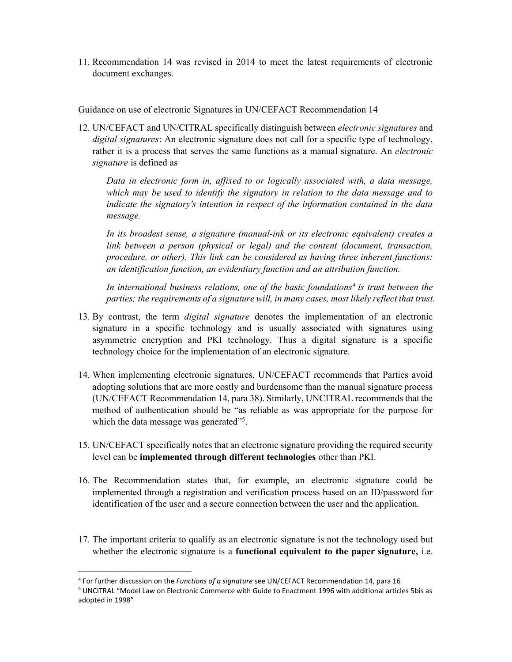11. Recommendation 14 was revised in 2014 to meet the latest requirements of electronic document exchanges.

#### Guidance on use of electronic Signatures in UN/CEFACT Recommendation 14

12. UN/CEFACT and UN/CITRAL specifically distinguish between electronic signatures and digital signatures: An electronic signature does not call for a specific type of technology, rather it is a process that serves the same functions as a manual signature. An electronic signature is defined as

Data in electronic form in, affixed to or logically associated with, a data message, which may be used to identify the signatory in relation to the data message and to indicate the signatory's intention in respect of the information contained in the data message.

In its broadest sense, a signature (manual-ink or its electronic equivalent) creates a link between a person (physical or legal) and the content (document, transaction, procedure, or other). This link can be considered as having three inherent functions: an identification function, an evidentiary function and an attribution function.

In international business relations, one of the basic foundations<sup>4</sup> is trust between the parties; the requirements of a signature will, in many cases, most likely reflect that trust.

- 13. By contrast, the term *digital signature* denotes the implementation of an electronic signature in a specific technology and is usually associated with signatures using asymmetric encryption and PKI technology. Thus a digital signature is a specific technology choice for the implementation of an electronic signature.
- 14. When implementing electronic signatures, UN/CEFACT recommends that Parties avoid adopting solutions that are more costly and burdensome than the manual signature process (UN/CEFACT Recommendation 14, para 38). Similarly, UNCITRAL recommends that the method of authentication should be "as reliable as was appropriate for the purpose for which the data message was generated"<sup>5</sup>.
- 15. UN/CEFACT specifically notes that an electronic signature providing the required security level can be implemented through different technologies other than PKI.
- 16. The Recommendation states that, for example, an electronic signature could be implemented through a registration and verification process based on an ID/password for identification of the user and a secure connection between the user and the application.
- 17. The important criteria to qualify as an electronic signature is not the technology used but whether the electronic signature is a functional equivalent to the paper signature, i.e.

1

<sup>&</sup>lt;sup>4</sup> For further discussion on the Functions of a signature see UN/CEFACT Recommendation 14, para 16

<sup>5</sup> UNCITRAL "Model Law on Electronic Commerce with Guide to Enactment 1996 with additional articles 5bis as adopted in 1998"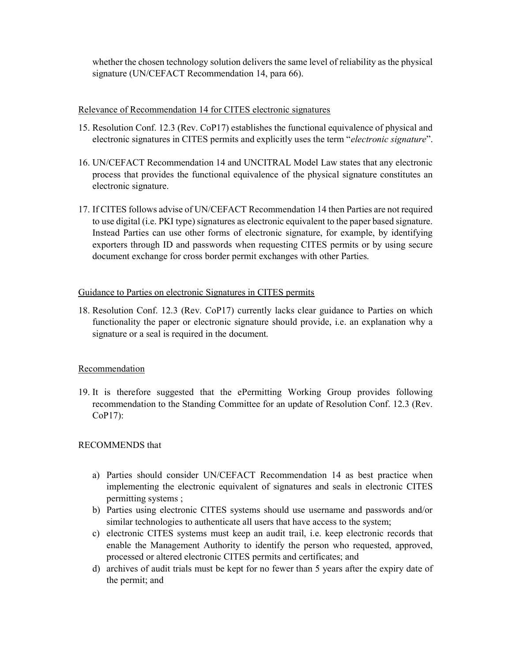whether the chosen technology solution delivers the same level of reliability as the physical signature (UN/CEFACT Recommendation 14, para 66).

## Relevance of Recommendation 14 for CITES electronic signatures

- 15. Resolution Conf. 12.3 (Rev. CoP17) establishes the functional equivalence of physical and electronic signatures in CITES permits and explicitly uses the term "electronic signature".
- 16. UN/CEFACT Recommendation 14 and UNCITRAL Model Law states that any electronic process that provides the functional equivalence of the physical signature constitutes an electronic signature.
- 17. If CITES follows advise of UN/CEFACT Recommendation 14 then Parties are not required to use digital (i.e. PKI type) signatures as electronic equivalent to the paper based signature. Instead Parties can use other forms of electronic signature, for example, by identifying exporters through ID and passwords when requesting CITES permits or by using secure document exchange for cross border permit exchanges with other Parties.

#### Guidance to Parties on electronic Signatures in CITES permits

18. Resolution Conf. 12.3 (Rev. CoP17) currently lacks clear guidance to Parties on which functionality the paper or electronic signature should provide, i.e. an explanation why a signature or a seal is required in the document.

#### Recommendation

19. It is therefore suggested that the ePermitting Working Group provides following recommendation to the Standing Committee for an update of Resolution Conf. 12.3 (Rev. CoP17):

## RECOMMENDS that

- a) Parties should consider UN/CEFACT Recommendation 14 as best practice when implementing the electronic equivalent of signatures and seals in electronic CITES permitting systems ;
- b) Parties using electronic CITES systems should use username and passwords and/or similar technologies to authenticate all users that have access to the system;
- c) electronic CITES systems must keep an audit trail, i.e. keep electronic records that enable the Management Authority to identify the person who requested, approved, processed or altered electronic CITES permits and certificates; and
- d) archives of audit trials must be kept for no fewer than 5 years after the expiry date of the permit; and